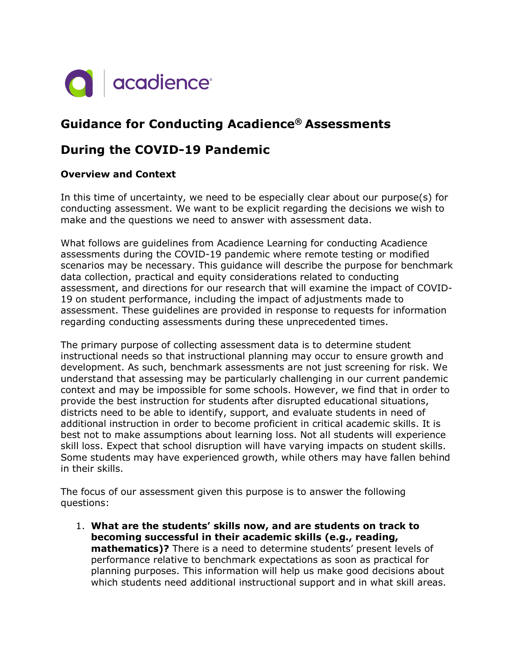

# **Guidance for Conducting Acadience® Assessments**

# **During the COVID-19 Pandemic**

## **Overview and Context**

In this time of uncertainty, we need to be especially clear about our purpose(s) for conducting assessment. We want to be explicit regarding the decisions we wish to make and the questions we need to answer with assessment data.

What follows are guidelines from Acadience Learning for conducting Acadience assessments during the COVID-19 pandemic where remote testing or modified scenarios may be necessary. This guidance will describe the purpose for benchmark data collection, practical and equity considerations related to conducting assessment, and directions for our research that will examine the impact of COVID-19 on student performance, including the impact of adjustments made to assessment. These guidelines are provided in response to requests for information regarding conducting assessments during these unprecedented times.

The primary purpose of collecting assessment data is to determine student instructional needs so that instructional planning may occur to ensure growth and development. As such, benchmark assessments are not just screening for risk. We understand that assessing may be particularly challenging in our current pandemic context and may be impossible for some schools. However, we find that in order to provide the best instruction for students after disrupted educational situations, districts need to be able to identify, support, and evaluate students in need of additional instruction in order to become proficient in critical academic skills. It is best not to make assumptions about learning loss. Not all students will experience skill loss. Expect that school disruption will have varying impacts on student skills. Some students may have experienced growth, while others may have fallen behind in their skills.

The focus of our assessment given this purpose is to answer the following questions:

1. **What are the students' skills now, and are students on track to becoming successful in their academic skills (e.g., reading, mathematics)?** There is a need to determine students' present levels of performance relative to benchmark expectations as soon as practical for planning purposes. This information will help us make good decisions about which students need additional instructional support and in what skill areas.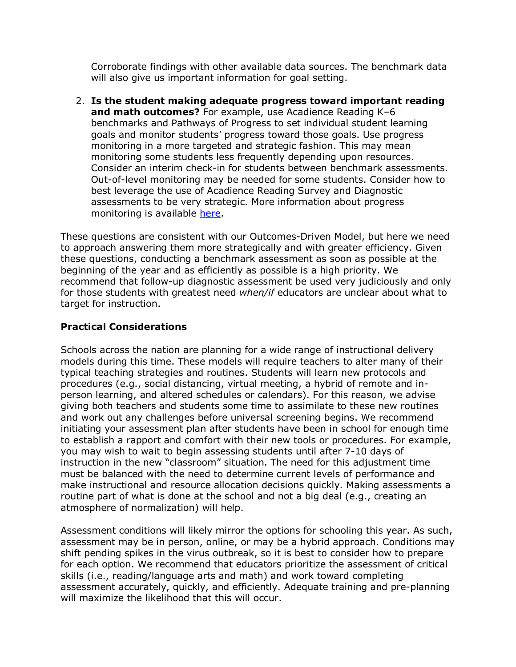Corroborate findings with other available data sources. The benchmark data will also give us important information for goal setting.

2. **Is the student making adequate progress toward important reading and math outcomes?** For example, use Acadience Reading K–6 benchmarks and Pathways of Progress to set individual student learning goals and monitor students' progress toward those goals. Use progress monitoring in a more targeted and strategic fashion. This may mean monitoring some students less frequently depending upon resources. Consider an interim check-in for students between benchmark assessments. Out-of-level monitoring may be needed for some students. Consider how to best leverage the use of Acadience Reading Survey and Diagnostic assessments to be very strategic. More information about progress monitoring is available here.

These questions are consistent with our Outcomes-Driven Model, but here we need to approach answering them more strategically and with greater efficiency. Given these questions, conducting a benchmark assessment as soon as possible at the beginning of the year and as efficiently as possible is a high priority. We recommend that follow-up diagnostic assessment be used very judiciously and only for those students with greatest need *when/if* educators are unclear about what to target for instruction.

## **Practical Considerations**

Schools across the nation are planning for a wide range of instructional delivery models during this time. These models will require teachers to alter many of their typical teaching strategies and routines. Students will learn new protocols and procedures (e.g., social distancing, virtual meeting, a hybrid of remote and inperson learning, and altered schedules or calendars). For this reason, we advise giving both teachers and students some time to assimilate to these new routines and work out any challenges before universal screening begins. We recommend initiating your assessment plan after students have been in school for enough time to establish a rapport and comfort with their new tools or procedures. For example, you may wish to wait to begin assessing students until after 7-10 days of instruction in the new "classroom" situation. The need for this adjustment time must be balanced with the need to determine current levels of performance and make instructional and resource allocation decisions quickly. Making assessments a routine part of what is done at the school and not a big deal (e.g., creating an atmosphere of normalization) will help.

Assessment conditions will likely mirror the options for schooling this year. As such, assessment may be in person, online, or may be a hybrid approach. Conditions may shift pending spikes in the virus outbreak, so it is best to consider how to prepare for each option. We recommend that educators prioritize the assessment of critical skills (i.e., reading/language arts and math) and work toward completing assessment accurately, quickly, and efficiently. Adequate training and pre-planning will maximize the likelihood that this will occur.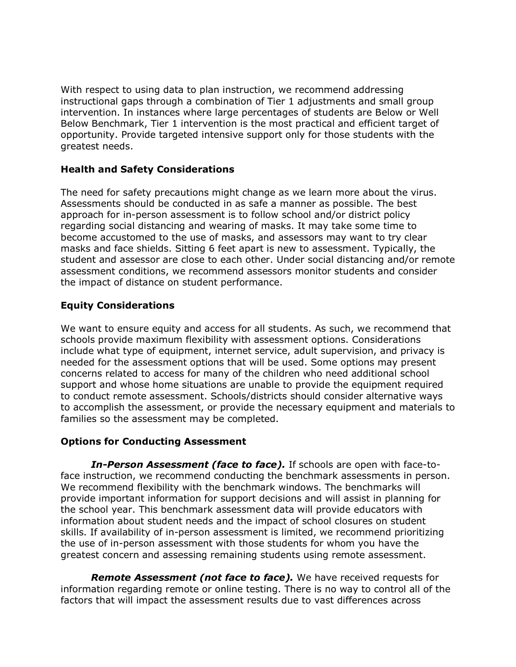With respect to using data to plan instruction, we recommend addressing instructional gaps through a combination of Tier 1 adjustments and small group intervention. In instances where large percentages of students are Below or Well Below Benchmark, Tier 1 intervention is the most practical and efficient target of opportunity. Provide targeted intensive support only for those students with the greatest needs.

#### **Health and Safety Considerations**

The need for safety precautions might change as we learn more about the virus. Assessments should be conducted in as safe a manner as possible. The best approach for in-person assessment is to follow school and/or district policy regarding social distancing and wearing of masks. It may take some time to become accustomed to the use of masks, and assessors may want to try clear masks and face shields. Sitting 6 feet apart is new to assessment. Typically, the student and assessor are close to each other. Under social distancing and/or remote assessment conditions, we recommend assessors monitor students and consider the impact of distance on student performance.

## **Equity Considerations**

We want to ensure equity and access for all students. As such, we recommend that schools provide maximum flexibility with assessment options. Considerations include what type of equipment, internet service, adult supervision, and privacy is needed for the assessment options that will be used. Some options may present concerns related to access for many of the children who need additional school support and whose home situations are unable to provide the equipment required to conduct remote assessment. Schools/districts should consider alternative ways to accomplish the assessment, or provide the necessary equipment and materials to families so the assessment may be completed.

#### **Options for Conducting Assessment**

*In-Person Assessment (face to face).* If schools are open with face-toface instruction, we recommend conducting the benchmark assessments in person. We recommend flexibility with the benchmark windows. The benchmarks will provide important information for support decisions and will assist in planning for the school year. This benchmark assessment data will provide educators with information about student needs and the impact of school closures on student skills. If availability of in-person assessment is limited, we recommend prioritizing the use of in-person assessment with those students for whom you have the greatest concern and assessing remaining students using remote assessment.

*Remote Assessment (not face to face).* We have received requests for information regarding remote or online testing. There is no way to control all of the factors that will impact the assessment results due to vast differences across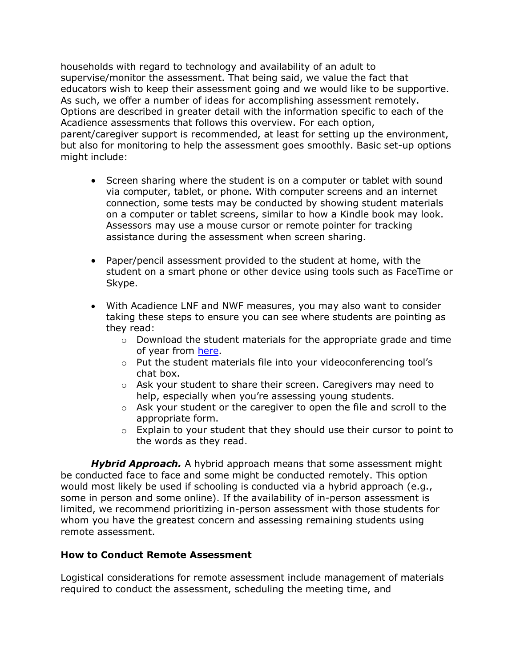households with regard to technology and availability of an adult to supervise/monitor the assessment. That being said, we value the fact that educators wish to keep their assessment going and we would like to be supportive. As such, we offer a number of ideas for accomplishing assessment remotely. Options are described in greater detail with the information specific to each of the Acadience assessments that follows this overview. For each option, parent/caregiver support is recommended, at least for setting up the environment, but also for monitoring to help the assessment goes smoothly. Basic set-up options might include:

- Screen sharing where the student is on a computer or tablet with sound via computer, tablet, or phone. With computer screens and an internet connection, some tests may be conducted by showing student materials on a computer or tablet screens, similar to how a Kindle book may look. Assessors may use a mouse cursor or remote pointer for tracking assistance during the assessment when screen sharing.
- Paper/pencil assessment provided to the student at home, with the student on a smart phone or other device using tools such as FaceTime or Skype.
- With Acadience LNF and NWF measures, you may also want to consider taking these steps to ensure you can see where students are pointing as they read:
	- $\circ$  Download the student materials for the appropriate grade and time of year from here.
	- o Put the student materials file into your videoconferencing tool's chat box.
	- o Ask your student to share their screen. Caregivers may need to help, especially when you're assessing young students.
	- $\circ$  Ask your student or the caregiver to open the file and scroll to the appropriate form.
	- o Explain to your student that they should use their cursor to point to the words as they read.

*Hybrid Approach.* A hybrid approach means that some assessment might be conducted face to face and some might be conducted remotely. This option would most likely be used if schooling is conducted via a hybrid approach (e.g., some in person and some online). If the availability of in-person assessment is limited, we recommend prioritizing in-person assessment with those students for whom you have the greatest concern and assessing remaining students using remote assessment.

#### **How to Conduct Remote Assessment**

Logistical considerations for remote assessment include management of materials required to conduct the assessment, scheduling the meeting time, and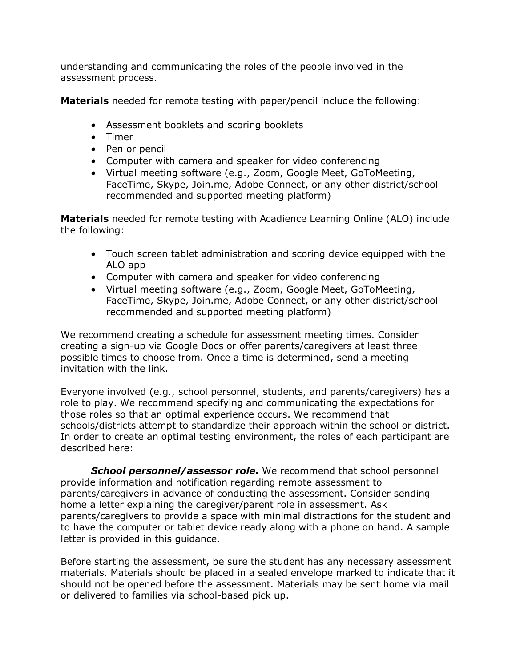understanding and communicating the roles of the people involved in the assessment process.

**Materials** needed for remote testing with paper/pencil include the following:

- Assessment booklets and scoring booklets
- Timer
- Pen or pencil
- Computer with camera and speaker for video conferencing
- Virtual meeting software (e.g., Zoom, Google Meet, GoToMeeting, FaceTime, Skype, Join.me, Adobe Connect, or any other district/school recommended and supported meeting platform)

**Materials** needed for remote testing with Acadience Learning Online (ALO) include the following:

- Touch screen tablet administration and scoring device equipped with the ALO app
- Computer with camera and speaker for video conferencing
- Virtual meeting software (e.g., Zoom, Google Meet, GoToMeeting, FaceTime, Skype, Join.me, Adobe Connect, or any other district/school recommended and supported meeting platform)

We recommend creating a schedule for assessment meeting times. Consider creating a sign-up via Google Docs or offer parents/caregivers at least three possible times to choose from. Once a time is determined, send a meeting invitation with the link.

Everyone involved (e.g., school personnel, students, and parents/caregivers) has a role to play. We recommend specifying and communicating the expectations for those roles so that an optimal experience occurs. We recommend that schools/districts attempt to standardize their approach within the school or district. In order to create an optimal testing environment, the roles of each participant are described here:

*School personnel/assessor role.* We recommend that school personnel provide information and notification regarding remote assessment to parents/caregivers in advance of conducting the assessment. Consider sending home a letter explaining the caregiver/parent role in assessment. Ask parents/caregivers to provide a space with minimal distractions for the student and to have the computer or tablet device ready along with a phone on hand. A sample letter is provided in this guidance.

Before starting the assessment, be sure the student has any necessary assessment materials. Materials should be placed in a sealed envelope marked to indicate that it should not be opened before the assessment. Materials may be sent home via mail or delivered to families via school-based pick up.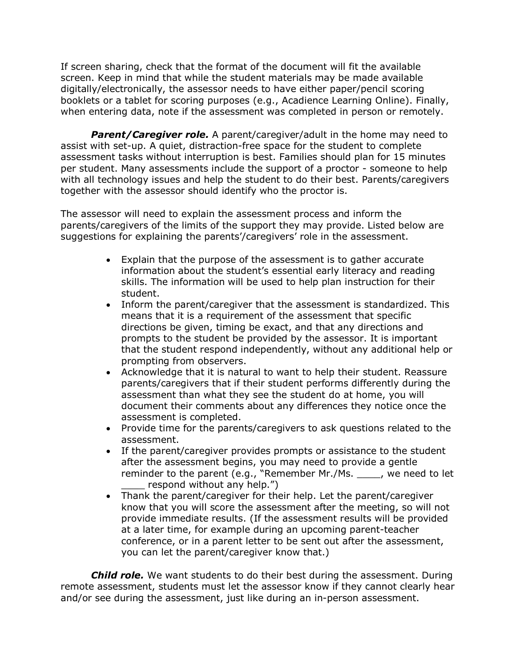If screen sharing, check that the format of the document will fit the available screen. Keep in mind that while the student materials may be made available digitally/electronically, the assessor needs to have either paper/pencil scoring booklets or a tablet for scoring purposes (e.g., Acadience Learning Online). Finally, when entering data, note if the assessment was completed in person or remotely.

**Parent/Caregiver role.** A parent/caregiver/adult in the home may need to assist with set-up. A quiet, distraction-free space for the student to complete assessment tasks without interruption is best. Families should plan for 15 minutes per student. Many assessments include the support of a proctor - someone to help with all technology issues and help the student to do their best. Parents/caregivers together with the assessor should identify who the proctor is.

The assessor will need to explain the assessment process and inform the parents/caregivers of the limits of the support they may provide. Listed below are suggestions for explaining the parents'/caregivers' role in the assessment.

- Explain that the purpose of the assessment is to gather accurate information about the student's essential early literacy and reading skills. The information will be used to help plan instruction for their student.
- Inform the parent/caregiver that the assessment is standardized. This means that it is a requirement of the assessment that specific directions be given, timing be exact, and that any directions and prompts to the student be provided by the assessor. It is important that the student respond independently, without any additional help or prompting from observers.
- Acknowledge that it is natural to want to help their student. Reassure parents/caregivers that if their student performs differently during the assessment than what they see the student do at home, you will document their comments about any differences they notice once the assessment is completed.
- Provide time for the parents/caregivers to ask questions related to the assessment.
- If the parent/caregiver provides prompts or assistance to the student after the assessment begins, you may need to provide a gentle reminder to the parent (e.g., "Remember Mr./Ms. \_\_\_\_, we need to let respond without any help.")
- Thank the parent/caregiver for their help. Let the parent/caregiver know that you will score the assessment after the meeting, so will not provide immediate results. (If the assessment results will be provided at a later time, for example during an upcoming parent-teacher conference, or in a parent letter to be sent out after the assessment, you can let the parent/caregiver know that.)

*Child role.* We want students to do their best during the assessment. During remote assessment, students must let the assessor know if they cannot clearly hear and/or see during the assessment, just like during an in-person assessment.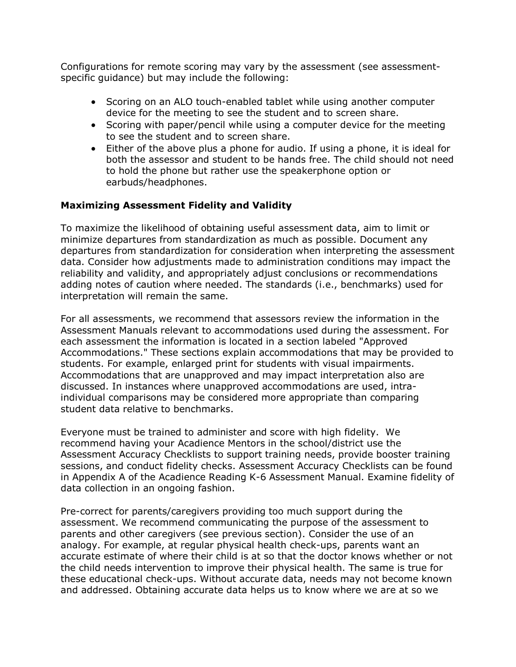Configurations for remote scoring may vary by the assessment (see assessmentspecific guidance) but may include the following:

- Scoring on an ALO touch-enabled tablet while using another computer device for the meeting to see the student and to screen share.
- Scoring with paper/pencil while using a computer device for the meeting to see the student and to screen share.
- Either of the above plus a phone for audio. If using a phone, it is ideal for both the assessor and student to be hands free. The child should not need to hold the phone but rather use the speakerphone option or earbuds/headphones.

## **Maximizing Assessment Fidelity and Validity**

To maximize the likelihood of obtaining useful assessment data, aim to limit or minimize departures from standardization as much as possible. Document any departures from standardization for consideration when interpreting the assessment data. Consider how adjustments made to administration conditions may impact the reliability and validity, and appropriately adjust conclusions or recommendations adding notes of caution where needed. The standards (i.e., benchmarks) used for interpretation will remain the same.

For all assessments, we recommend that assessors review the information in the Assessment Manuals relevant to accommodations used during the assessment. For each assessment the information is located in a section labeled "Approved Accommodations." These sections explain accommodations that may be provided to students. For example, enlarged print for students with visual impairments. Accommodations that are unapproved and may impact interpretation also are discussed. In instances where unapproved accommodations are used, intraindividual comparisons may be considered more appropriate than comparing student data relative to benchmarks.

Everyone must be trained to administer and score with high fidelity. We recommend having your Acadience Mentors in the school/district use the Assessment Accuracy Checklists to support training needs, provide booster training sessions, and conduct fidelity checks. Assessment Accuracy Checklists can be found in Appendix A of the Acadience Reading K-6 Assessment Manual. Examine fidelity of data collection in an ongoing fashion.

Pre-correct for parents/caregivers providing too much support during the assessment. We recommend communicating the purpose of the assessment to parents and other caregivers (see previous section). Consider the use of an analogy. For example, at regular physical health check-ups, parents want an accurate estimate of where their child is at so that the doctor knows whether or not the child needs intervention to improve their physical health. The same is true for these educational check-ups. Without accurate data, needs may not become known and addressed. Obtaining accurate data helps us to know where we are at so we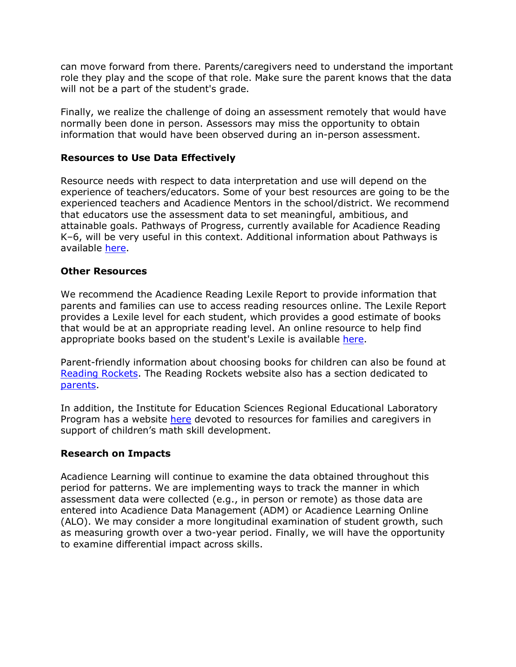can move forward from there. Parents/caregivers need to understand the important role they play and the scope of that role. Make sure the parent knows that the data will not be a part of the student's grade.

Finally, we realize the challenge of doing an assessment remotely that would have normally been done in person. Assessors may miss the opportunity to obtain information that would have been observed during an in-person assessment.

#### **Resources to Use Data Effectively**

Resource needs with respect to data interpretation and use will depend on the experience of teachers/educators. Some of your best resources are going to be the experienced teachers and Acadience Mentors in the school/district. We recommend that educators use the assessment data to set meaningful, ambitious, and attainable goals. Pathways of Progress, currently available for Acadience Reading K–6, will be very useful in this context. Additional information about Pathways is available here.

#### **Other Resources**

We recommend the Acadience Reading Lexile Report to provide information that parents and families can use to access reading resources online. The Lexile Report provides a Lexile level for each student, which provides a good estimate of books that would be at an appropriate reading level. An online resource to help find appropriate books based on the student's Lexile is available here.

Parent-friendly information about choosing books for children can also be found at Reading Rockets. The Reading Rockets website also has a section dedicated to parents.

In addition, the Institute for Education Sciences Regional Educational Laboratory Program has a website here devoted to resources for families and caregivers in support of children's math skill development.

#### **Research on Impacts**

Acadience Learning will continue to examine the data obtained throughout this period for patterns. We are implementing ways to track the manner in which assessment data were collected (e.g., in person or remote) as those data are entered into Acadience Data Management (ADM) or Acadience Learning Online (ALO). We may consider a more longitudinal examination of student growth, such as measuring growth over a two-year period. Finally, we will have the opportunity to examine differential impact across skills.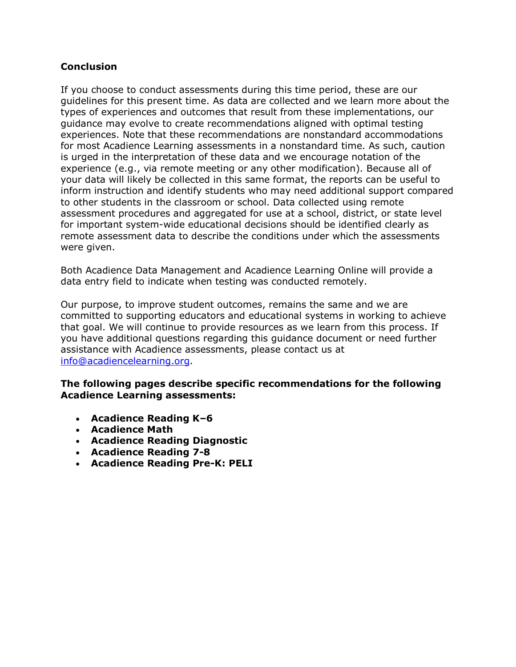### **Conclusion**

If you choose to conduct assessments during this time period, these are our guidelines for this present time. As data are collected and we learn more about the types of experiences and outcomes that result from these implementations, our guidance may evolve to create recommendations aligned with optimal testing experiences. Note that these recommendations are nonstandard accommodations for most Acadience Learning assessments in a nonstandard time. As such, caution is urged in the interpretation of these data and we encourage notation of the experience (e.g., via remote meeting or any other modification). Because all of your data will likely be collected in this same format, the reports can be useful to inform instruction and identify students who may need additional support compared to other students in the classroom or school. Data collected using remote assessment procedures and aggregated for use at a school, district, or state level for important system-wide educational decisions should be identified clearly as remote assessment data to describe the conditions under which the assessments were given.

Both Acadience Data Management and Acadience Learning Online will provide a data entry field to indicate when testing was conducted remotely.

Our purpose, to improve student outcomes, remains the same and we are committed to supporting educators and educational systems in working to achieve that goal. We will continue to provide resources as we learn from this process. If you have additional questions regarding this guidance document or need further assistance with Acadience assessments, please contact us at info@acadiencelearning.org.

#### **The following pages describe specific recommendations for the following Acadience Learning assessments:**

- **Acadience Reading K–6**
- **Acadience Math**
- **Acadience Reading Diagnostic**
- **Acadience Reading 7-8**
- **Acadience Reading Pre-K: PELI**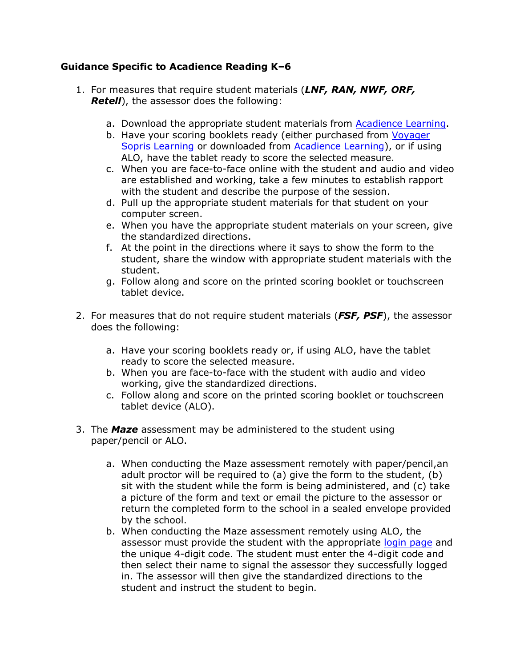## **Guidance Specific to Acadience Reading K–6**

- 1. For measures that require student materials (*LNF, RAN, NWF, ORF, Retell*), the assessor does the following:
	- a. Download the appropriate student materials from Acadience Learning.
	- b. Have your scoring booklets ready (either purchased from Voyager Sopris Learning or downloaded from Acadience Learning), or if using ALO, have the tablet ready to score the selected measure.
	- c. When you are face-to-face online with the student and audio and video are established and working, take a few minutes to establish rapport with the student and describe the purpose of the session.
	- d. Pull up the appropriate student materials for that student on your computer screen.
	- e. When you have the appropriate student materials on your screen, give the standardized directions.
	- f. At the point in the directions where it says to show the form to the student, share the window with appropriate student materials with the student.
	- g. Follow along and score on the printed scoring booklet or touchscreen tablet device.
- 2. For measures that do not require student materials (*FSF, PSF*), the assessor does the following:
	- a. Have your scoring booklets ready or, if using ALO, have the tablet ready to score the selected measure.
	- b. When you are face-to-face with the student with audio and video working, give the standardized directions.
	- c. Follow along and score on the printed scoring booklet or touchscreen tablet device (ALO).
- 3. The *Maze* assessment may be administered to the student using paper/pencil or ALO.
	- a. When conducting the Maze assessment remotely with paper/pencil,an adult proctor will be required to (a) give the form to the student, (b) sit with the student while the form is being administered, and (c) take a picture of the form and text or email the picture to the assessor or return the completed form to the school in a sealed envelope provided by the school.
	- b. When conducting the Maze assessment remotely using ALO, the assessor must provide the student with the appropriate login page and the unique 4-digit code. The student must enter the 4-digit code and then select their name to signal the assessor they successfully logged in. The assessor will then give the standardized directions to the student and instruct the student to begin.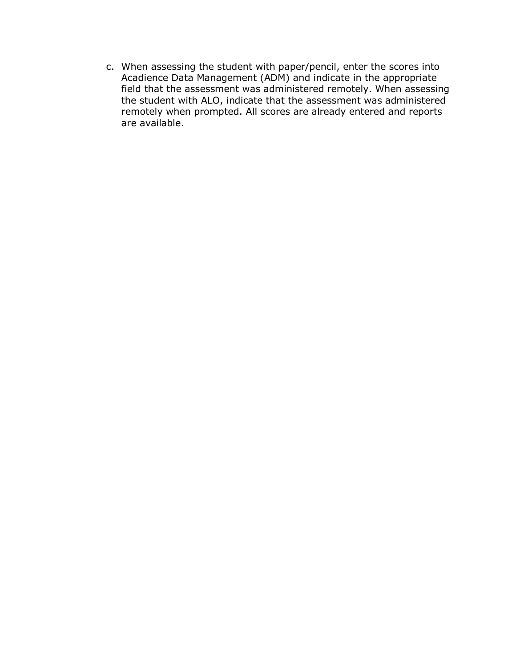c. When assessing the student with paper/pencil, enter the scores into Acadience Data Management (ADM) and indicate in the appropriate field that the assessment was administered remotely. When assessing the student with ALO, indicate that the assessment was administered remotely when prompted. All scores are already entered and reports are available.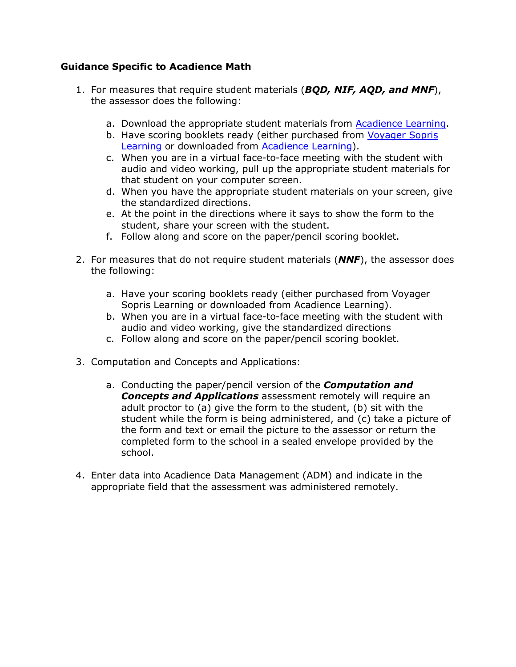## **Guidance Specific to Acadience Math**

- 1. For measures that require student materials (*BQD, NIF, AQD, and MNF*), the assessor does the following:
	- a. Download the appropriate student materials from Acadience Learning.
	- b. Have scoring booklets ready (either purchased from Voyager Sopris Learning or downloaded from Acadience Learning).
	- c. When you are in a virtual face-to-face meeting with the student with audio and video working, pull up the appropriate student materials for that student on your computer screen.
	- d. When you have the appropriate student materials on your screen, give the standardized directions.
	- e. At the point in the directions where it says to show the form to the student, share your screen with the student.
	- f. Follow along and score on the paper/pencil scoring booklet.
- 2. For measures that do not require student materials (*NNF*), the assessor does the following:
	- a. Have your scoring booklets ready (either purchased from Voyager Sopris Learning or downloaded from Acadience Learning).
	- b. When you are in a virtual face-to-face meeting with the student with audio and video working, give the standardized directions
	- c. Follow along and score on the paper/pencil scoring booklet.
- 3. Computation and Concepts and Applications:
	- a. Conducting the paper/pencil version of the *Computation and Concepts and Applications* assessment remotely will require an adult proctor to (a) give the form to the student, (b) sit with the student while the form is being administered, and (c) take a picture of the form and text or email the picture to the assessor or return the completed form to the school in a sealed envelope provided by the school.
- 4. Enter data into Acadience Data Management (ADM) and indicate in the appropriate field that the assessment was administered remotely.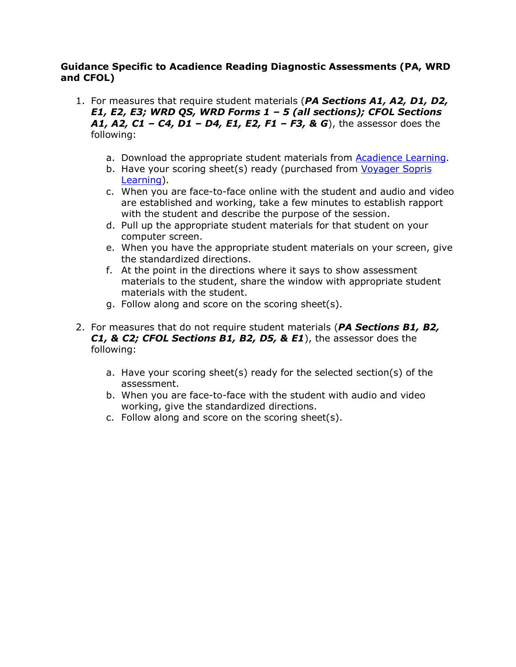#### **Guidance Specific to Acadience Reading Diagnostic Assessments (PA, WRD and CFOL)**

- 1. For measures that require student materials (*PA Sections A1, A2, D1, D2, E1, E2, E3; WRD QS, WRD Forms 1 – 5 (all sections); CFOL Sections A1, A2, C1 – C4, D1 – D4, E1, E2, F1 – F3, & G*), the assessor does the following:
	- a. Download the appropriate student materials from Acadience Learning.
	- b. Have your scoring sheet(s) ready (purchased from Voyager Sopris Learning).
	- c. When you are face-to-face online with the student and audio and video are established and working, take a few minutes to establish rapport with the student and describe the purpose of the session.
	- d. Pull up the appropriate student materials for that student on your computer screen.
	- e. When you have the appropriate student materials on your screen, give the standardized directions.
	- f. At the point in the directions where it says to show assessment materials to the student, share the window with appropriate student materials with the student.
	- g. Follow along and score on the scoring sheet(s).
- 2. For measures that do not require student materials (*PA Sections B1, B2, C1, & C2; CFOL Sections B1, B2, D5, & E1*), the assessor does the following:
	- a. Have your scoring sheet(s) ready for the selected section(s) of the assessment.
	- b. When you are face-to-face with the student with audio and video working, give the standardized directions.
	- c. Follow along and score on the scoring sheet(s).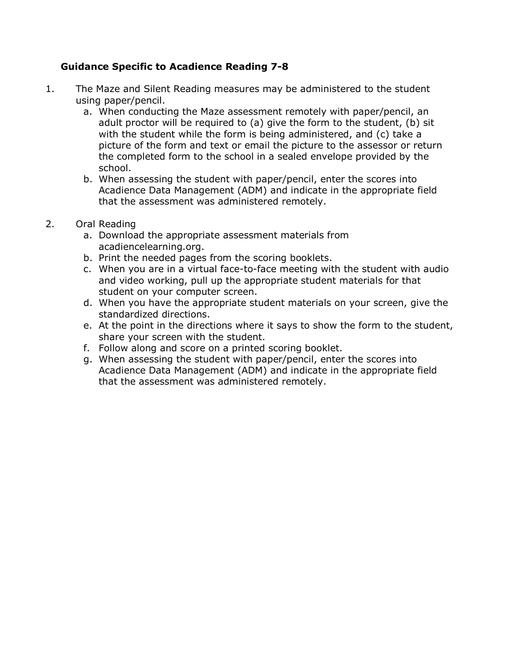## **Guidance Specific to Acadience Reading 7-8**

- 1. The Maze and Silent Reading measures may be administered to the student using paper/pencil.
	- a. When conducting the Maze assessment remotely with paper/pencil, an adult proctor will be required to (a) give the form to the student, (b) sit with the student while the form is being administered, and (c) take a picture of the form and text or email the picture to the assessor or return the completed form to the school in a sealed envelope provided by the school.
	- b. When assessing the student with paper/pencil, enter the scores into Acadience Data Management (ADM) and indicate in the appropriate field that the assessment was administered remotely.
- 2. Oral Reading
	- a. Download the appropriate assessment materials from acadiencelearning.org.
	- b. Print the needed pages from the scoring booklets.
	- c. When you are in a virtual face-to-face meeting with the student with audio and video working, pull up the appropriate student materials for that student on your computer screen.
	- d. When you have the appropriate student materials on your screen, give the standardized directions.
	- e. At the point in the directions where it says to show the form to the student, share your screen with the student.
	- f. Follow along and score on a printed scoring booklet.
	- g. When assessing the student with paper/pencil, enter the scores into Acadience Data Management (ADM) and indicate in the appropriate field that the assessment was administered remotely.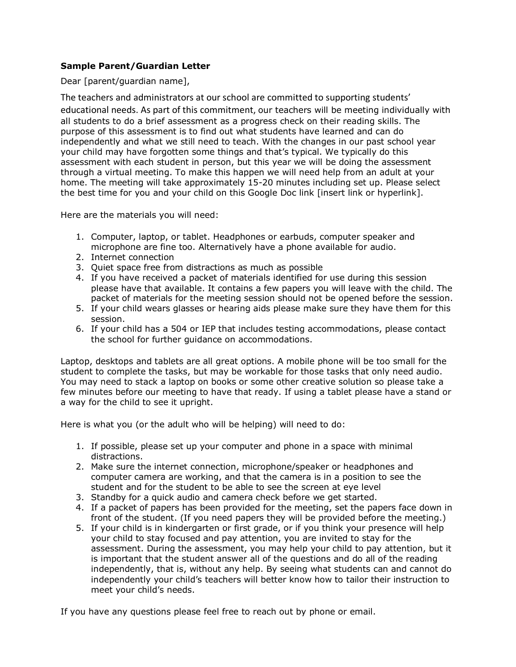#### **Sample Parent/Guardian Letter**

Dear [parent/guardian name],

The teachers and administrators at our school are committed to supporting students' educational needs. As part of this commitment, our teachers will be meeting individually with all students to do a brief assessment as a progress check on their reading skills. The purpose of this assessment is to find out what students have learned and can do independently and what we still need to teach. With the changes in our past school year your child may have forgotten some things and that's typical. We typically do this assessment with each student in person, but this year we will be doing the assessment through a virtual meeting. To make this happen we will need help from an adult at your home. The meeting will take approximately 15-20 minutes including set up. Please select the best time for you and your child on this Google Doc link [insert link or hyperlink].

Here are the materials you will need:

- 1. Computer, laptop, or tablet. Headphones or earbuds, computer speaker and microphone are fine too. Alternatively have a phone available for audio.
- 2. Internet connection
- 3. Quiet space free from distractions as much as possible
- 4. If you have received a packet of materials identified for use during this session please have that available. It contains a few papers you will leave with the child. The packet of materials for the meeting session should not be opened before the session.
- 5. If your child wears glasses or hearing aids please make sure they have them for this session.
- 6. If your child has a 504 or IEP that includes testing accommodations, please contact the school for further guidance on accommodations.

Laptop, desktops and tablets are all great options. A mobile phone will be too small for the student to complete the tasks, but may be workable for those tasks that only need audio. You may need to stack a laptop on books or some other creative solution so please take a few minutes before our meeting to have that ready. If using a tablet please have a stand or a way for the child to see it upright.

Here is what you (or the adult who will be helping) will need to do:

- 1. If possible, please set up your computer and phone in a space with minimal distractions.
- 2. Make sure the internet connection, microphone/speaker or headphones and computer camera are working, and that the camera is in a position to see the student and for the student to be able to see the screen at eye level
- 3. Standby for a quick audio and camera check before we get started.
- 4. If a packet of papers has been provided for the meeting, set the papers face down in front of the student. (If you need papers they will be provided before the meeting.)
- 5. If your child is in kindergarten or first grade, or if you think your presence will help your child to stay focused and pay attention, you are invited to stay for the assessment. During the assessment, you may help your child to pay attention, but it is important that the student answer all of the questions and do all of the reading independently, that is, without any help. By seeing what students can and cannot do independently your child's teachers will better know how to tailor their instruction to meet your child's needs.

If you have any questions please feel free to reach out by phone or email.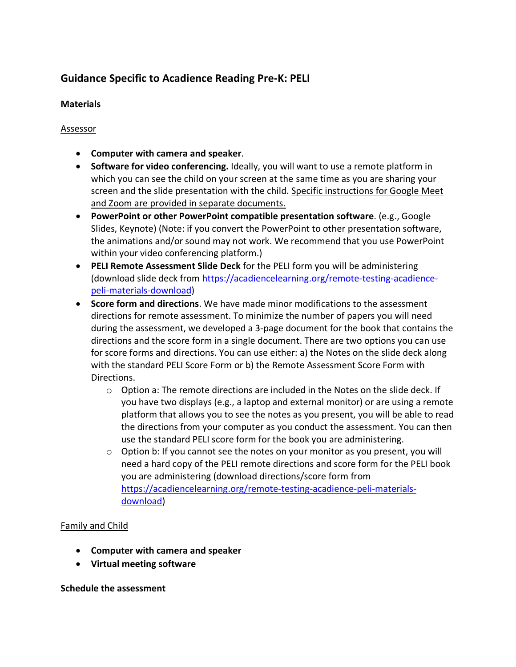# **Guidance Specific to Acadience Reading Pre-K: PELI**

#### **Materials**

#### Assessor

- **Computer with camera and speaker**.
- **Software for video conferencing.** Ideally, you will want to use a remote platform in which you can see the child on your screen at the same time as you are sharing your screen and the slide presentation with the child. Specific instructions for Google Meet and Zoom are provided in separate documents.
- **PowerPoint or other PowerPoint compatible presentation software**. (e.g., Google Slides, Keynote) (Note: if you convert the PowerPoint to other presentation software, the animations and/or sound may not work. We recommend that you use PowerPoint within your video conferencing platform.)
- **PELI Remote Assessment Slide Deck** for the PELI form you will be administering (download slide deck from https://acadiencelearning.org/remote-testing-acadiencepeli-materials-download)
- **Score form and directions**. We have made minor modifications to the assessment directions for remote assessment. To minimize the number of papers you will need during the assessment, we developed a 3-page document for the book that contains the directions and the score form in a single document. There are two options you can use for score forms and directions. You can use either: a) the Notes on the slide deck along with the standard PELI Score Form or b) the Remote Assessment Score Form with Directions.
	- $\circ$  Option a: The remote directions are included in the Notes on the slide deck. If you have two displays (e.g., a laptop and external monitor) or are using a remote platform that allows you to see the notes as you present, you will be able to read the directions from your computer as you conduct the assessment. You can then use the standard PELI score form for the book you are administering.
	- $\circ$  Option b: If you cannot see the notes on your monitor as you present, you will need a hard copy of the PELI remote directions and score form for the PELI book you are administering (download directions/score form from https://acadiencelearning.org/remote-testing-acadience-peli-materialsdownload)

#### Family and Child

- **Computer with camera and speaker**
- **Virtual meeting software**

#### **Schedule the assessment**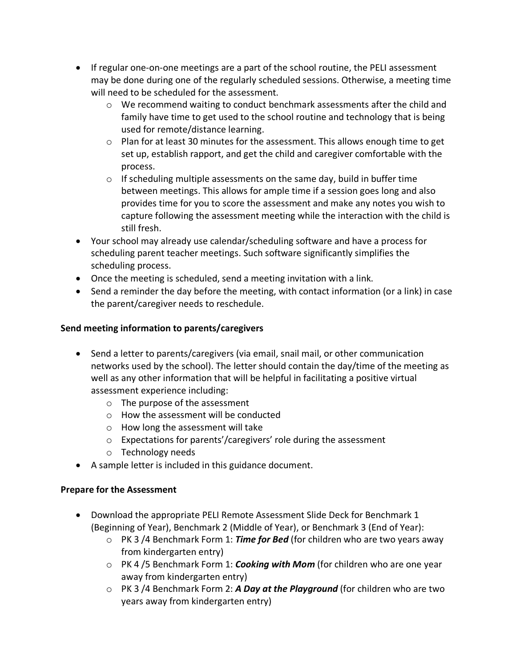- If regular one-on-one meetings are a part of the school routine, the PELI assessment may be done during one of the regularly scheduled sessions. Otherwise, a meeting time will need to be scheduled for the assessment.
	- $\circ$  We recommend waiting to conduct benchmark assessments after the child and family have time to get used to the school routine and technology that is being used for remote/distance learning.
	- $\circ$  Plan for at least 30 minutes for the assessment. This allows enough time to get set up, establish rapport, and get the child and caregiver comfortable with the process.
	- $\circ$  If scheduling multiple assessments on the same day, build in buffer time between meetings. This allows for ample time if a session goes long and also provides time for you to score the assessment and make any notes you wish to capture following the assessment meeting while the interaction with the child is still fresh.
- Your school may already use calendar/scheduling software and have a process for scheduling parent teacher meetings. Such software significantly simplifies the scheduling process.
- Once the meeting is scheduled, send a meeting invitation with a link.
- Send a reminder the day before the meeting, with contact information (or a link) in case the parent/caregiver needs to reschedule.

# **Send meeting information to parents/caregivers**

- Send a letter to parents/caregivers (via email, snail mail, or other communication networks used by the school). The letter should contain the day/time of the meeting as well as any other information that will be helpful in facilitating a positive virtual assessment experience including:
	- o The purpose of the assessment
	- o How the assessment will be conducted
	- o How long the assessment will take
	- o Expectations for parents'/caregivers' role during the assessment
	- o Technology needs
- A sample letter is included in this guidance document.

# **Prepare for the Assessment**

- Download the appropriate PELI Remote Assessment Slide Deck for Benchmark 1 (Beginning of Year), Benchmark 2 (Middle of Year), or Benchmark 3 (End of Year):
	- o PK 3 /4 Benchmark Form 1: *Time for Bed* (for children who are two years away from kindergarten entry)
	- o PK 4 /5 Benchmark Form 1: *Cooking with Mom* (for children who are one year away from kindergarten entry)
	- o PK 3 /4 Benchmark Form 2: *A Day at the Playground* (for children who are two years away from kindergarten entry)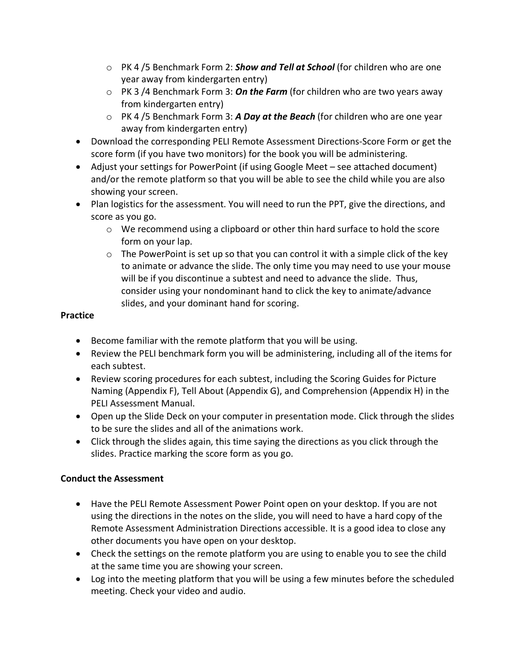- o PK 4 /5 Benchmark Form 2: *Show and Tell at School* (for children who are one year away from kindergarten entry)
- o PK 3 /4 Benchmark Form 3: *On the Farm* (for children who are two years away from kindergarten entry)
- o PK 4 /5 Benchmark Form 3: *A Day at the Beach* (for children who are one year away from kindergarten entry)
- Download the corresponding PELI Remote Assessment Directions-Score Form or get the score form (if you have two monitors) for the book you will be administering.
- Adjust your settings for PowerPoint (if using Google Meet see attached document) and/or the remote platform so that you will be able to see the child while you are also showing your screen.
- Plan logistics for the assessment. You will need to run the PPT, give the directions, and score as you go.
	- o We recommend using a clipboard or other thin hard surface to hold the score form on your lap.
	- $\circ$  The PowerPoint is set up so that you can control it with a simple click of the key to animate or advance the slide. The only time you may need to use your mouse will be if you discontinue a subtest and need to advance the slide. Thus, consider using your nondominant hand to click the key to animate/advance slides, and your dominant hand for scoring.

#### **Practice**

- Become familiar with the remote platform that you will be using.
- Review the PELI benchmark form you will be administering, including all of the items for each subtest.
- Review scoring procedures for each subtest, including the Scoring Guides for Picture Naming (Appendix F), Tell About (Appendix G), and Comprehension (Appendix H) in the PELI Assessment Manual.
- Open up the Slide Deck on your computer in presentation mode. Click through the slides to be sure the slides and all of the animations work.
- Click through the slides again, this time saying the directions as you click through the slides. Practice marking the score form as you go.

# **Conduct the Assessment**

- Have the PELI Remote Assessment Power Point open on your desktop. If you are not using the directions in the notes on the slide, you will need to have a hard copy of the Remote Assessment Administration Directions accessible. It is a good idea to close any other documents you have open on your desktop.
- Check the settings on the remote platform you are using to enable you to see the child at the same time you are showing your screen.
- Log into the meeting platform that you will be using a few minutes before the scheduled meeting. Check your video and audio.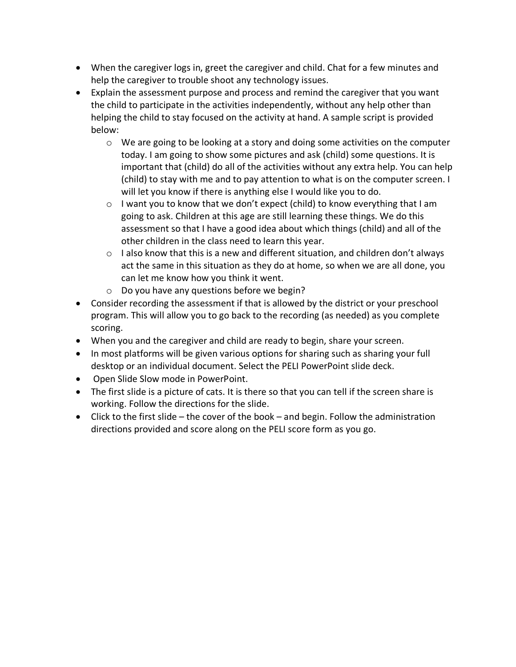- When the caregiver logs in, greet the caregiver and child. Chat for a few minutes and help the caregiver to trouble shoot any technology issues.
- Explain the assessment purpose and process and remind the caregiver that you want the child to participate in the activities independently, without any help other than helping the child to stay focused on the activity at hand. A sample script is provided below:
	- $\circ$  We are going to be looking at a story and doing some activities on the computer today. I am going to show some pictures and ask (child) some questions. It is important that (child) do all of the activities without any extra help. You can help (child) to stay with me and to pay attention to what is on the computer screen. I will let you know if there is anything else I would like you to do.
	- o I want you to know that we don't expect (child) to know everything that I am going to ask. Children at this age are still learning these things. We do this assessment so that I have a good idea about which things (child) and all of the other children in the class need to learn this year.
	- $\circ$  I also know that this is a new and different situation, and children don't always act the same in this situation as they do at home, so when we are all done, you can let me know how you think it went.
	- o Do you have any questions before we begin?
- Consider recording the assessment if that is allowed by the district or your preschool program. This will allow you to go back to the recording (as needed) as you complete scoring.
- When you and the caregiver and child are ready to begin, share your screen.
- In most platforms will be given various options for sharing such as sharing your full desktop or an individual document. Select the PELI PowerPoint slide deck.
- Open Slide Slow mode in PowerPoint.
- The first slide is a picture of cats. It is there so that you can tell if the screen share is working. Follow the directions for the slide.
- Click to the first slide the cover of the book and begin. Follow the administration directions provided and score along on the PELI score form as you go.